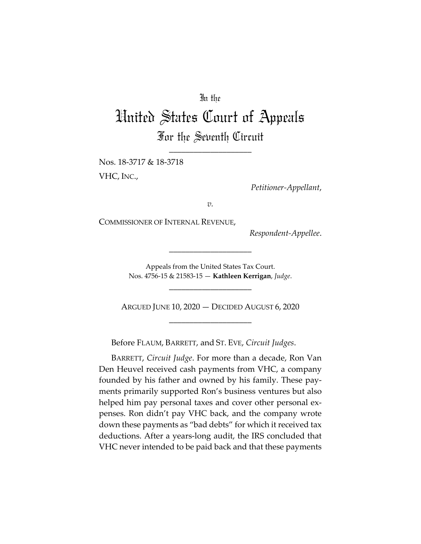## In the

# United States Court of Appeals For the Seventh Circuit

\_\_\_\_\_\_\_\_\_\_\_\_\_\_\_\_\_\_\_\_

Nos. 18-3717 & 18-3718 VHC, INC.,

*Petitioner-Appellant*,

*v.*

COMMISSIONER OF INTERNAL REVENUE,

*Respondent-Appellee*.

Appeals from the United States Tax Court. Nos. 4756-15 & 21583-15 — **Kathleen Kerrigan**, *Judge*.

\_\_\_\_\_\_\_\_\_\_\_\_\_\_\_\_\_\_\_\_

\_\_\_\_\_\_\_\_\_\_\_\_\_\_\_\_\_\_\_\_

ARGUED JUNE 10, 2020 — DECIDED AUGUST 6, 2020 \_\_\_\_\_\_\_\_\_\_\_\_\_\_\_\_\_\_\_\_

Before FLAUM, BARRETT, and ST. EVE, *Circuit Judges*.

BARRETT, *Circuit Judge*. For more than a decade, Ron Van Den Heuvel received cash payments from VHC, a company founded by his father and owned by his family. These payments primarily supported Ron's business ventures but also helped him pay personal taxes and cover other personal expenses. Ron didn't pay VHC back, and the company wrote down these payments as "bad debts" for which it received tax deductions. After a years-long audit, the IRS concluded that VHC never intended to be paid back and that these payments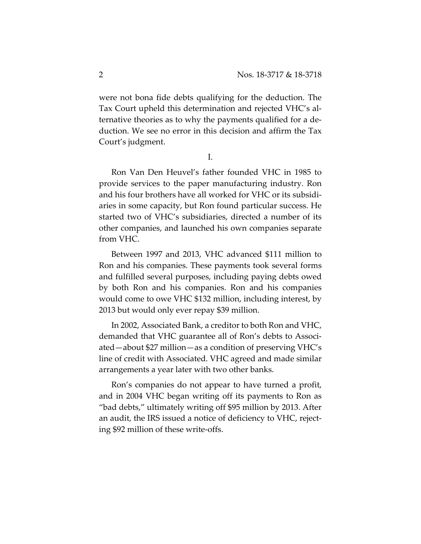were not bona fide debts qualifying for the deduction. The Tax Court upheld this determination and rejected VHC's alternative theories as to why the payments qualified for a deduction. We see no error in this decision and affirm the Tax Court's judgment.

I.

Ron Van Den Heuvel's father founded VHC in 1985 to provide services to the paper manufacturing industry. Ron and his four brothers have all worked for VHC or its subsidiaries in some capacity, but Ron found particular success. He started two of VHC's subsidiaries, directed a number of its other companies, and launched his own companies separate from VHC.

Between 1997 and 2013, VHC advanced \$111 million to Ron and his companies. These payments took several forms and fulfilled several purposes, including paying debts owed by both Ron and his companies. Ron and his companies would come to owe VHC \$132 million, including interest, by 2013 but would only ever repay \$39 million.

In 2002, Associated Bank, a creditor to both Ron and VHC, demanded that VHC guarantee all of Ron's debts to Associated—about \$27 million—as a condition of preserving VHC's line of credit with Associated. VHC agreed and made similar arrangements a year later with two other banks.

Ron's companies do not appear to have turned a profit, and in 2004 VHC began writing off its payments to Ron as "bad debts," ultimately writing off \$95 million by 2013. After an audit, the IRS issued a notice of deficiency to VHC, rejecting \$92 million of these write-offs.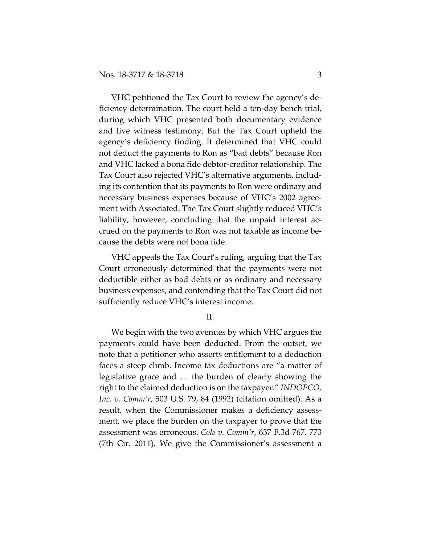VHC petitioned the Tax Court to review the agency's deficiency determination. The court held a ten-day bench trial, during which VHC presented both documentary evidence and live witness testimony. But the Tax Court upheld the agency's deficiency finding. It determined that VHC could not deduct the payments to Ron as "bad debts" because Ron and VHC lacked a bona fide debtor-creditor relationship. The Tax Court also rejected VHC's alternative arguments, including its contention that its payments to Ron were ordinary and necessary business expenses because of VHC's 2002 agreement with Associated. The Tax Court slightly reduced VHC's liability, however, concluding that the unpaid interest accrued on the payments to Ron was not taxable as income because the debts were not bona fide.

VHC appeals the Tax Court's ruling, arguing that the Tax Court erroneously determined that the payments were not deductible either as bad debts or as ordinary and necessary business expenses, and contending that the Tax Court did not sufficiently reduce VHC's interest income.

II.

We begin with the two avenues by which VHC argues the payments could have been deducted. From the outset, we note that a petitioner who asserts entitlement to a deduction faces a steep climb. Income tax deductions are "a matter of legislative grace and … the burden of clearly showing the right to the claimed deduction is on the taxpayer." *INDOPCO, Inc. v. Comm'r*, 503 U.S. 79, 84 (1992) (citation omitted). As a result, when the Commissioner makes a deficiency assessment, we place the burden on the taxpayer to prove that the assessment was erroneous. *Cole v. Comm'r*, 637 F.3d 767, 773 (7th Cir. 2011). We give the Commissioner's assessment a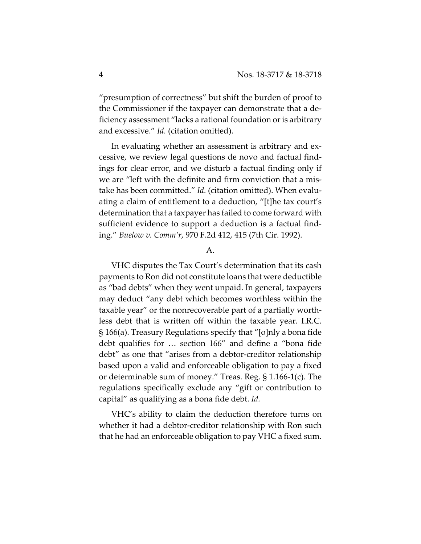"presumption of correctness" but shift the burden of proof to the Commissioner if the taxpayer can demonstrate that a deficiency assessment "lacks a rational foundation or is arbitrary and excessive." *Id.* (citation omitted).

In evaluating whether an assessment is arbitrary and excessive, we review legal questions de novo and factual findings for clear error, and we disturb a factual finding only if we are "left with the definite and firm conviction that a mistake has been committed." *Id.* (citation omitted). When evaluating a claim of entitlement to a deduction, "[t]he tax court's determination that a taxpayer has failed to come forward with sufficient evidence to support a deduction is a factual finding." *Buelow v. Comm'r*, 970 F.2d 412, 415 (7th Cir. 1992).

### A.

VHC disputes the Tax Court's determination that its cash payments to Ron did not constitute loans that were deductible as "bad debts" when they went unpaid. In general, taxpayers may deduct "any debt which becomes worthless within the taxable year" or the nonrecoverable part of a partially worthless debt that is written off within the taxable year. I.R.C. § 166(a). Treasury Regulations specify that "[o]nly a bona fide debt qualifies for … section 166" and define a "bona fide debt" as one that "arises from a debtor-creditor relationship based upon a valid and enforceable obligation to pay a fixed or determinable sum of money." Treas. Reg. § 1.166-1(c). The regulations specifically exclude any "gift or contribution to capital" as qualifying as a bona fide debt. *Id.* 

VHC's ability to claim the deduction therefore turns on whether it had a debtor-creditor relationship with Ron such that he had an enforceable obligation to pay VHC a fixed sum.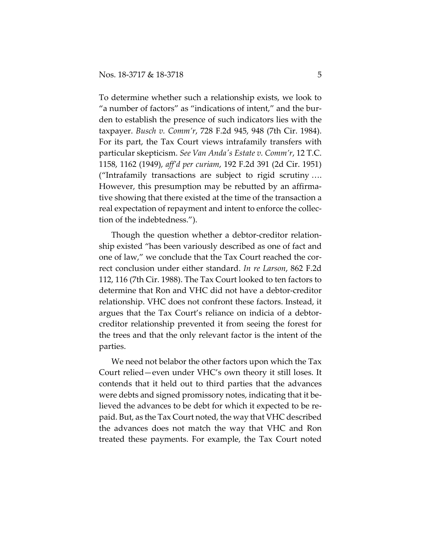To determine whether such a relationship exists, we look to "a number of factors" as "indications of intent," and the burden to establish the presence of such indicators lies with the taxpayer. *Busch v. Comm'r*, 728 F.2d 945, 948 (7th Cir. 1984). For its part, the Tax Court views intrafamily transfers with particular skepticism. *See Van Anda's Estate v. Comm'r*, 12 T.C. 1158, 1162 (1949), *aff'd per curiam*, 192 F.2d 391 (2d Cir. 1951) ("Intrafamily transactions are subject to rigid scrutiny …. However, this presumption may be rebutted by an affirmative showing that there existed at the time of the transaction a real expectation of repayment and intent to enforce the collection of the indebtedness.").

Though the question whether a debtor-creditor relationship existed "has been variously described as one of fact and one of law," we conclude that the Tax Court reached the correct conclusion under either standard. *In re Larson*, 862 F.2d 112, 116 (7th Cir. 1988). The Tax Court looked to ten factors to determine that Ron and VHC did not have a debtor-creditor relationship. VHC does not confront these factors. Instead, it argues that the Tax Court's reliance on indicia of a debtorcreditor relationship prevented it from seeing the forest for the trees and that the only relevant factor is the intent of the parties.

We need not belabor the other factors upon which the Tax Court relied—even under VHC's own theory it still loses. It contends that it held out to third parties that the advances were debts and signed promissory notes, indicating that it believed the advances to be debt for which it expected to be repaid. But, as the Tax Court noted, the way that VHC described the advances does not match the way that VHC and Ron treated these payments. For example, the Tax Court noted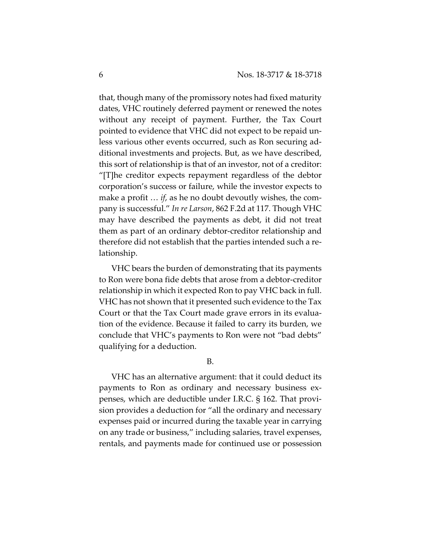that, though many of the promissory notes had fixed maturity dates, VHC routinely deferred payment or renewed the notes without any receipt of payment. Further, the Tax Court pointed to evidence that VHC did not expect to be repaid unless various other events occurred, such as Ron securing additional investments and projects. But, as we have described, this sort of relationship is that of an investor, not of a creditor: "[T]he creditor expects repayment regardless of the debtor corporation's success or failure, while the investor expects to make a profit … *if*, as he no doubt devoutly wishes, the company is successful." *In re Larson*, 862 F.2d at 117. Though VHC may have described the payments as debt, it did not treat them as part of an ordinary debtor-creditor relationship and therefore did not establish that the parties intended such a relationship.

VHC bears the burden of demonstrating that its payments to Ron were bona fide debts that arose from a debtor-creditor relationship in which it expected Ron to pay VHC back in full. VHC has not shown that it presented such evidence to the Tax Court or that the Tax Court made grave errors in its evaluation of the evidence. Because it failed to carry its burden, we conclude that VHC's payments to Ron were not "bad debts" qualifying for a deduction.

#### B.

VHC has an alternative argument: that it could deduct its payments to Ron as ordinary and necessary business expenses, which are deductible under I.R.C. § 162. That provision provides a deduction for "all the ordinary and necessary expenses paid or incurred during the taxable year in carrying on any trade or business," including salaries, travel expenses, rentals, and payments made for continued use or possession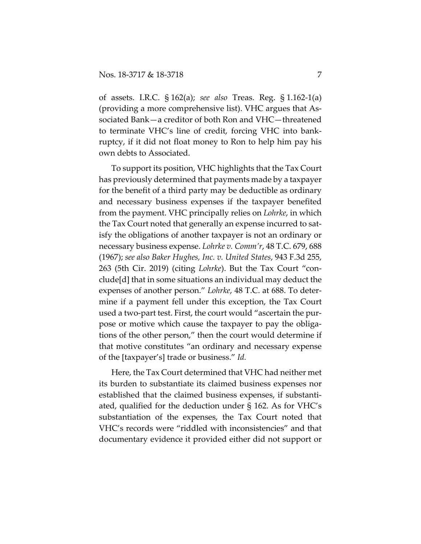of assets. I.R.C. § 162(a); *see also* Treas. Reg. § 1.162-1(a) (providing a more comprehensive list). VHC argues that Associated Bank—a creditor of both Ron and VHC—threatened to terminate VHC's line of credit, forcing VHC into bankruptcy, if it did not float money to Ron to help him pay his own debts to Associated.

To support its position, VHC highlights that the Tax Court has previously determined that payments made by a taxpayer for the benefit of a third party may be deductible as ordinary and necessary business expenses if the taxpayer benefited from the payment. VHC principally relies on *Lohrke*, in which the Tax Court noted that generally an expense incurred to satisfy the obligations of another taxpayer is not an ordinary or necessary business expense. *Lohrke v. Comm'r*, 48 T.C. 679, 688 (1967); *see also Baker Hughes, Inc. v. United States*, 943 F.3d 255, 263 (5th Cir. 2019) (citing *Lohrke*). But the Tax Court "conclude[d] that in some situations an individual may deduct the expenses of another person." *Lohrke*, 48 T.C. at 688. To determine if a payment fell under this exception, the Tax Court used a two-part test. First, the court would "ascertain the purpose or motive which cause the taxpayer to pay the obligations of the other person," then the court would determine if that motive constitutes "an ordinary and necessary expense of the [taxpayer's] trade or business." *Id.* 

Here, the Tax Court determined that VHC had neither met its burden to substantiate its claimed business expenses nor established that the claimed business expenses, if substantiated, qualified for the deduction under § 162. As for VHC's substantiation of the expenses, the Tax Court noted that VHC's records were "riddled with inconsistencies" and that documentary evidence it provided either did not support or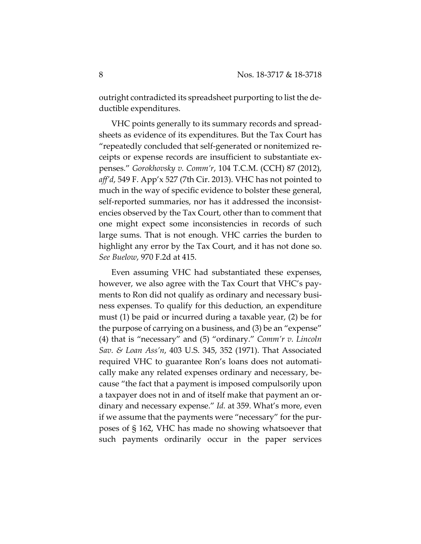outright contradicted its spreadsheet purporting to list the deductible expenditures.

VHC points generally to its summary records and spreadsheets as evidence of its expenditures. But the Tax Court has "repeatedly concluded that self-generated or nonitemized receipts or expense records are insufficient to substantiate expenses." *Gorokhovsky v. Comm'r*, 104 T.C.M. (CCH) 87 (2012), *aff'd*, 549 F. App'x 527 (7th Cir. 2013). VHC has not pointed to much in the way of specific evidence to bolster these general, self-reported summaries, nor has it addressed the inconsistencies observed by the Tax Court, other than to comment that one might expect some inconsistencies in records of such large sums. That is not enough. VHC carries the burden to highlight any error by the Tax Court, and it has not done so. *See Buelow*, 970 F.2d at 415.

Even assuming VHC had substantiated these expenses, however, we also agree with the Tax Court that VHC's payments to Ron did not qualify as ordinary and necessary business expenses. To qualify for this deduction, an expenditure must (1) be paid or incurred during a taxable year, (2) be for the purpose of carrying on a business, and (3) be an "expense" (4) that is "necessary" and (5) "ordinary." *Comm'r v. Lincoln Sav. & Loan Ass'n*, 403 U.S. 345, 352 (1971). That Associated required VHC to guarantee Ron's loans does not automatically make any related expenses ordinary and necessary, because "the fact that a payment is imposed compulsorily upon a taxpayer does not in and of itself make that payment an ordinary and necessary expense." *Id.* at 359. What's more, even if we assume that the payments were "necessary" for the purposes of § 162, VHC has made no showing whatsoever that such payments ordinarily occur in the paper services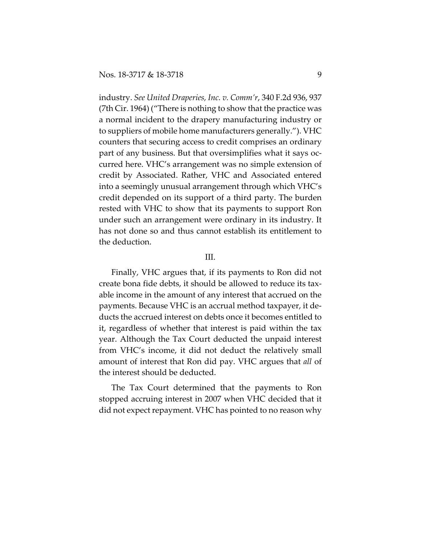industry. *See United Draperies, Inc. v. Comm'r*, 340 F.2d 936, 937 (7th Cir. 1964) ("There is nothing to show that the practice was a normal incident to the drapery manufacturing industry or to suppliers of mobile home manufacturers generally."). VHC counters that securing access to credit comprises an ordinary part of any business. But that oversimplifies what it says occurred here. VHC's arrangement was no simple extension of credit by Associated. Rather, VHC and Associated entered into a seemingly unusual arrangement through which VHC's credit depended on its support of a third party. The burden rested with VHC to show that its payments to support Ron under such an arrangement were ordinary in its industry. It has not done so and thus cannot establish its entitlement to the deduction.

#### III.

Finally, VHC argues that, if its payments to Ron did not create bona fide debts, it should be allowed to reduce its taxable income in the amount of any interest that accrued on the payments. Because VHC is an accrual method taxpayer, it deducts the accrued interest on debts once it becomes entitled to it, regardless of whether that interest is paid within the tax year. Although the Tax Court deducted the unpaid interest from VHC's income, it did not deduct the relatively small amount of interest that Ron did pay. VHC argues that *all* of the interest should be deducted.

The Tax Court determined that the payments to Ron stopped accruing interest in 2007 when VHC decided that it did not expect repayment. VHC has pointed to no reason why